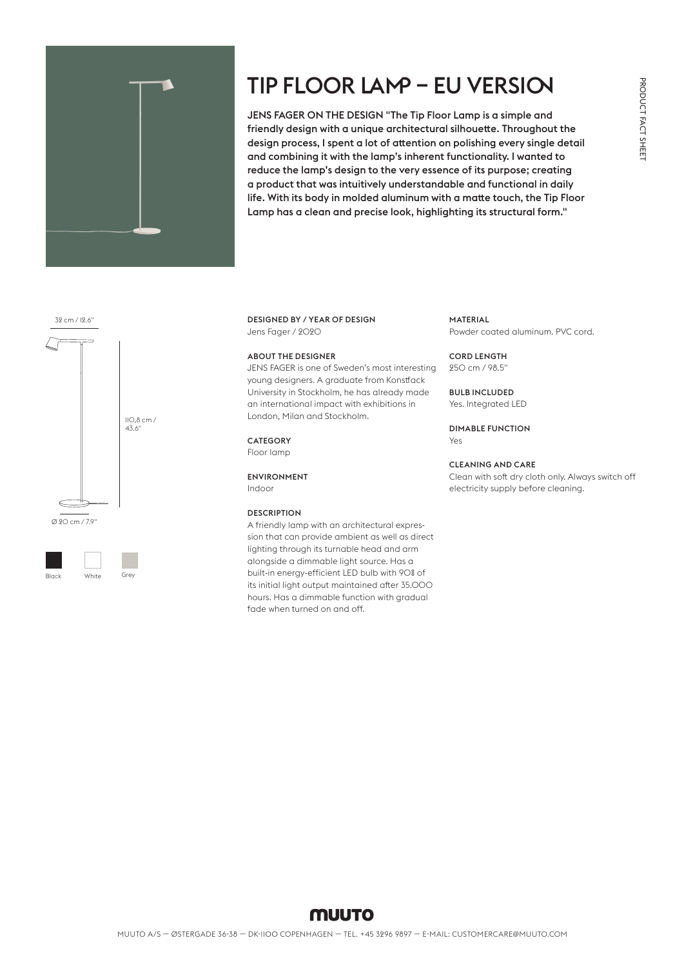

# TIP FLOOR LAMP – EU VERSION

JENS FAGER ON THE DESIGN "The Tip Floor Lamp is a simple and friendly design with a unique architectural silhouette. Throughout the design process, I spent a lot of attention on polishing every single detail and combining it with the lamp's inherent functionality. I wanted to reduce the lamp's design to the very essence of its purpose; creating a product that was intuitively understandable and functional in daily life. With its body in molded aluminum with a matte touch, the Tip Floor Lamp has a clean and precise look, highlighting its structural form."

#### 32 cm / 12.6"





Black White Grey

### DESIGNED BY / YEAR OF DESIGN Jens Fager / 2020

#### ABOUT THE DESIGNER

JENS FAGER is one of Sweden's most interesting young designers. A graduate from Konstfack University in Stockholm, he has already made an international impact with exhibitions in London, Milan and Stockholm.

#### **CATEGORY**

Floor lamp

#### ENVIRONMENT

Indoor

# **DESCRIPTION**

A friendly lamp with an architectural expression that can provide ambient as well as direct lighting through its turnable head and arm alongside a dimmable light source. Has a built-in energy-efficient LED bulb with 90% of its initial light output maintained after 35.000 hours. Has a dimmable function with gradual fade when turned on and off.

#### MATERIAL

Powder coated aluminum. PVC cord.

#### CORD LENGTH

250 cm / 98.5"

#### BULB INCLUDED

Yes. Integrated LED

DIMABLE FUNCTION Yes

### CLEANING AND CARE

Clean with soft dry cloth only. Always switch off electricity supply before cleaning.